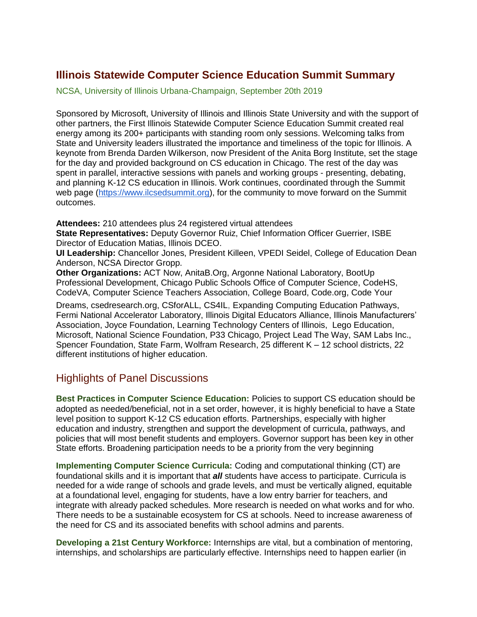## **Illinois Statewide Computer Science Education Summit Summary**

NCSA, University of Illinois Urbana-Champaign, September 20th 2019

Sponsored by Microsoft, University of Illinois and Illinois State University and with the support of other partners, the First Illinois Statewide Computer Science Education Summit created real energy among its 200+ participants with standing room only sessions. Welcoming talks from State and University leaders illustrated the importance and timeliness of the topic for Illinois. A keynote from Brenda Darden Wilkerson, now President of the Anita Borg Institute, set the stage for the day and provided background on CS education in Chicago. The rest of the day was spent in parallel, interactive sessions with panels and working groups - presenting, debating, and planning K-12 CS education in Illinois. Work continues, coordinated through the Summit web page [\(https://www.ilcsedsummit.org\)](https://www.ilcsedsummit.org/), for the community to move forward on the Summit outcomes.

**Attendees:** 210 attendees plus 24 registered virtual attendees

**State Representatives:** Deputy Governor Ruiz, Chief Information Officer Guerrier, ISBE Director of Education Matias, Illinois DCEO.

**UI Leadership:** Chancellor Jones, President Killeen, VPEDI Seidel, College of Education Dean Anderson, NCSA Director Gropp.

**Other Organizations:** ACT Now, AnitaB.Org, Argonne National Laboratory, BootUp Professional Development, Chicago Public Schools Office of Computer Science, CodeHS, CodeVA, Computer Science Teachers Association, College Board, Code.org, Code Your

Dreams, csedresearch.org, CSforALL, CS4IL, Expanding Computing Education Pathways, Fermi National Accelerator Laboratory, Illinois Digital Educators Alliance, Illinois Manufacturers' Association, Joyce Foundation, Learning Technology Centers of Illinois, Lego Education, Microsoft, National Science Foundation, P33 Chicago, Project Lead The Way, SAM Labs Inc., Spencer Foundation, State Farm, Wolfram Research, 25 different K – 12 school districts, 22 different institutions of higher education.

## Highlights of Panel Discussions

**Best Practices in Computer Science Education:** Policies to support CS education should be adopted as needed/beneficial, not in a set order, however, it is highly beneficial to have a State level position to support K-12 CS education efforts. Partnerships, especially with higher education and industry, strengthen and support the development of curricula, pathways, and policies that will most benefit students and employers. Governor support has been key in other State efforts. Broadening participation needs to be a priority from the very beginning

**Implementing Computer Science Curricula:** Coding and computational thinking (CT) are foundational skills and it is important that *all* students have access to participate. Curricula is needed for a wide range of schools and grade levels, and must be vertically aligned, equitable at a foundational level, engaging for students, have a low entry barrier for teachers, and integrate with already packed schedules. More research is needed on what works and for who. There needs to be a sustainable ecosystem for CS at schools. Need to increase awareness of the need for CS and its associated benefits with school admins and parents.

**Developing a 21st Century Workforce:** Internships are vital, but a combination of mentoring, internships, and scholarships are particularly effective. Internships need to happen earlier (in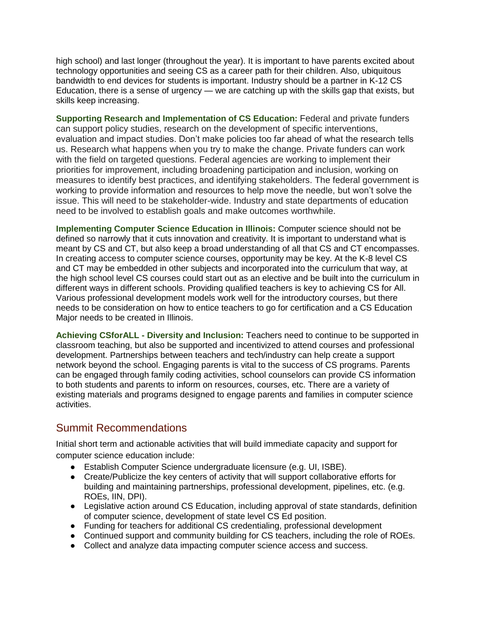high school) and last longer (throughout the year). It is important to have parents excited about technology opportunities and seeing CS as a career path for their children. Also, ubiquitous bandwidth to end devices for students is important. Industry should be a partner in K-12 CS Education, there is a sense of urgency — we are catching up with the skills gap that exists, but skills keep increasing.

**Supporting Research and Implementation of CS Education:** Federal and private funders can support policy studies, research on the development of specific interventions, evaluation and impact studies. Don't make policies too far ahead of what the research tells us. Research what happens when you try to make the change. Private funders can work with the field on targeted questions. Federal agencies are working to implement their priorities for improvement, including broadening participation and inclusion, working on measures to identify best practices, and identifying stakeholders. The federal government is working to provide information and resources to help move the needle, but won't solve the issue. This will need to be stakeholder-wide. Industry and state departments of education need to be involved to establish goals and make outcomes worthwhile.

**Implementing Computer Science Education in Illinois:** Computer science should not be defined so narrowly that it cuts innovation and creativity. It is important to understand what is meant by CS and CT, but also keep a broad understanding of all that CS and CT encompasses. In creating access to computer science courses, opportunity may be key. At the K-8 level CS and CT may be embedded in other subjects and incorporated into the curriculum that way, at the high school level CS courses could start out as an elective and be built into the curriculum in different ways in different schools. Providing qualified teachers is key to achieving CS for All. Various professional development models work well for the introductory courses, but there needs to be consideration on how to entice teachers to go for certification and a CS Education Major needs to be created in Illinois.

**Achieving CSforALL - Diversity and Inclusion:** Teachers need to continue to be supported in classroom teaching, but also be supported and incentivized to attend courses and professional development. Partnerships between teachers and tech/industry can help create a support network beyond the school. Engaging parents is vital to the success of CS programs. Parents can be engaged through family coding activities, school counselors can provide CS information to both students and parents to inform on resources, courses, etc. There are a variety of existing materials and programs designed to engage parents and families in computer science activities.

## Summit Recommendations

Initial short term and actionable activities that will build immediate capacity and support for computer science education include:

- Establish Computer Science undergraduate licensure (e.g. UI, ISBE).
- Create/Publicize the key centers of activity that will support collaborative efforts for building and maintaining partnerships, professional development, pipelines, etc. (e.g. ROEs, IIN, DPI).
- Legislative action around CS Education, including approval of state standards, definition of computer science, development of state level CS Ed position.
- Funding for teachers for additional CS credentialing, professional development
- Continued support and community building for CS teachers, including the role of ROEs.
- Collect and analyze data impacting computer science access and success.